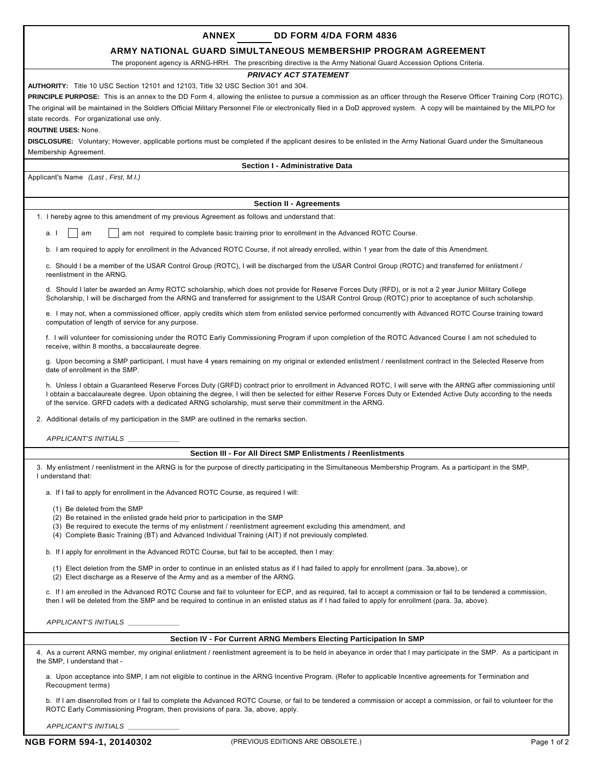| <b>ANNEX</b><br>DD FORM 4/DA FORM 4836                                                                                                                                                                                                                                                                                                                                                                                                         |  |  |  |  |  |  |
|------------------------------------------------------------------------------------------------------------------------------------------------------------------------------------------------------------------------------------------------------------------------------------------------------------------------------------------------------------------------------------------------------------------------------------------------|--|--|--|--|--|--|
| ARMY NATIONAL GUARD SIMULTANEOUS MEMBERSHIP PROGRAM AGREEMENT                                                                                                                                                                                                                                                                                                                                                                                  |  |  |  |  |  |  |
| The proponent agency is ARNG-HRH. The prescribing directive is the Army National Guard Accession Options Criteria.                                                                                                                                                                                                                                                                                                                             |  |  |  |  |  |  |
| <b>PRIVACY ACT STATEMENT</b>                                                                                                                                                                                                                                                                                                                                                                                                                   |  |  |  |  |  |  |
| AUTHORITY: Title 10 USC Section 12101 and 12103, Title 32 USC Section 301 and 304.                                                                                                                                                                                                                                                                                                                                                             |  |  |  |  |  |  |
| <b>PRINCIPLE PURPOSE:</b> This is an annex to the DD Form 4, allowing the enlistee to pursue a commission as an officer through the Reserve Officer Training Corp (ROTC).                                                                                                                                                                                                                                                                      |  |  |  |  |  |  |
| The original will be maintained in the Soldiers Official Military Personnel File or electronically filed in a DoD approved system. A copy will be maintained by the MILPO for<br>state records. For organizational use only.                                                                                                                                                                                                                   |  |  |  |  |  |  |
| <b>ROUTINE USES: None.</b>                                                                                                                                                                                                                                                                                                                                                                                                                     |  |  |  |  |  |  |
| DISCLOSURE: Voluntary; However, applicable portions must be completed if the applicant desires to be enlisted in the Army National Guard under the Simultaneous                                                                                                                                                                                                                                                                                |  |  |  |  |  |  |
| Membership Agreement.                                                                                                                                                                                                                                                                                                                                                                                                                          |  |  |  |  |  |  |
| Section I - Administrative Data                                                                                                                                                                                                                                                                                                                                                                                                                |  |  |  |  |  |  |
| Applicant's Name (Last, First, M.I.)                                                                                                                                                                                                                                                                                                                                                                                                           |  |  |  |  |  |  |
|                                                                                                                                                                                                                                                                                                                                                                                                                                                |  |  |  |  |  |  |
| <b>Section II - Agreements</b>                                                                                                                                                                                                                                                                                                                                                                                                                 |  |  |  |  |  |  |
| 1. I hereby agree to this amendment of my previous Agreement as follows and understand that:                                                                                                                                                                                                                                                                                                                                                   |  |  |  |  |  |  |
| am not required to complete basic training prior to enrollment in the Advanced ROTC Course.<br>am<br>a. I                                                                                                                                                                                                                                                                                                                                      |  |  |  |  |  |  |
| b. I am required to apply for enrollment in the Advanced ROTC Course, if not already enrolled, within 1 year from the date of this Amendment.                                                                                                                                                                                                                                                                                                  |  |  |  |  |  |  |
| c. Should I be a member of the USAR Control Group (ROTC), I will be discharged from the USAR Control Group (ROTC) and transferred for enlistment /<br>reenlistment in the ARNG.                                                                                                                                                                                                                                                                |  |  |  |  |  |  |
| d. Should I later be awarded an Army ROTC scholarship, which does not provide for Reserve Forces Duty (RFD), or is not a 2 year Junior Military College<br>Scholarship, I will be discharged from the ARNG and transferred for assignment to the USAR Control Group (ROTC) prior to acceptance of such scholarship.                                                                                                                            |  |  |  |  |  |  |
| e. I may not, when a commissioned officer, apply credits which stem from enlisted service performed concurrently with Advanced ROTC Course training toward<br>computation of length of service for any purpose.                                                                                                                                                                                                                                |  |  |  |  |  |  |
| f. I will volunteer for comissioning under the ROTC Early Commissioning Program if upon completion of the ROTC Advanced Course I am not scheduled to<br>receive, within 8 months, a baccalaureate degree.                                                                                                                                                                                                                                      |  |  |  |  |  |  |
| g. Upon becoming a SMP participant, I must have 4 years remaining on my original or extended enlistment / reenlistment contract in the Selected Reserve from<br>date of enrollment in the SMP.                                                                                                                                                                                                                                                 |  |  |  |  |  |  |
| h. Unless I obtain a Guaranteed Reserve Forces Duty (GRFD) contract prior to enrollment in Advanced ROTC, I will serve with the ARNG after commissioning until<br>I obtain a baccalaureate degree. Upon obtaining the degree, I will then be selected for either Reserve Forces Duty or Extended Active Duty according to the needs<br>of the service. GRFD cadets with a dedicated ARNG scholarship, must serve their commitment in the ARNG. |  |  |  |  |  |  |
| 2. Additional details of my participation in the SMP are outlined in the remarks section.                                                                                                                                                                                                                                                                                                                                                      |  |  |  |  |  |  |
| APPLICANT'S INITIALS _______                                                                                                                                                                                                                                                                                                                                                                                                                   |  |  |  |  |  |  |
| Section III - For All Direct SMP Enlistments / Reenlistments                                                                                                                                                                                                                                                                                                                                                                                   |  |  |  |  |  |  |
| 3. My enlistment / reenlistment in the ARNG is for the purpose of directly participating in the Simultaneous Membership Program. As a participant in the SMP<br>I understand that:                                                                                                                                                                                                                                                             |  |  |  |  |  |  |
| a. If I fail to apply for enrollment in the Advanced ROTC Course, as required I will:                                                                                                                                                                                                                                                                                                                                                          |  |  |  |  |  |  |
| (1) Be deleted from the SMP                                                                                                                                                                                                                                                                                                                                                                                                                    |  |  |  |  |  |  |
| (2) Be retained in the enlisted grade held prior to participation in the SMP                                                                                                                                                                                                                                                                                                                                                                   |  |  |  |  |  |  |
| (3) Be required to execute the terms of my enlistment / reenlistment agreement excluding this amendment, and                                                                                                                                                                                                                                                                                                                                   |  |  |  |  |  |  |
| (4) Complete Basic Training (BT) and Advanced Individual Training (AIT) if not previously completed.                                                                                                                                                                                                                                                                                                                                           |  |  |  |  |  |  |
| b. If I apply for enrollment in the Advanced ROTC Course, but fail to be accepted, then I may:                                                                                                                                                                                                                                                                                                                                                 |  |  |  |  |  |  |
| (1) Elect deletion from the SMP in order to continue in an enlisted status as if I had failed to apply for enrollment (para. 3a,above), or<br>(2) Elect discharge as a Reserve of the Army and as a member of the ARNG.                                                                                                                                                                                                                        |  |  |  |  |  |  |
| c. If I am enrolled in the Advanced ROTC Course and fail to volunteer for ECP, and as required, fail to accept a commission or fail to be tendered a commission,<br>then I will be deleted from the SMP and be required to continue in an enlisted status as if I had failed to apply for enrollment (para. 3a, above).                                                                                                                        |  |  |  |  |  |  |
| APPLICANT'S INITIALS ___________                                                                                                                                                                                                                                                                                                                                                                                                               |  |  |  |  |  |  |
| Section IV - For Current ARNG Members Electing Participation In SMP                                                                                                                                                                                                                                                                                                                                                                            |  |  |  |  |  |  |
| 4. As a current ARNG member, my original enlistment / reenlistment agreement is to be held in abeyance in order that I may participate in the SMP. As a participant in<br>the SMP, I understand that -                                                                                                                                                                                                                                         |  |  |  |  |  |  |
| a. Upon acceptance into SMP, I am not eligible to continue in the ARNG Incentive Program. (Refer to applicable Incentive agreements for Termination and<br>Recoupment terms)                                                                                                                                                                                                                                                                   |  |  |  |  |  |  |
| b. If I am disenrolled from or I fail to complete the Advanced ROTC Course, or fail to be tendered a commission or accept a commission, or fail to volunteer for the<br>ROTC Early Commissioning Program, then provisions of para. 3a, above, apply.                                                                                                                                                                                           |  |  |  |  |  |  |

*APPLICANT'S INITIALS \_\_\_\_\_\_\_\_\_\_\_\_\_*

Г

٦